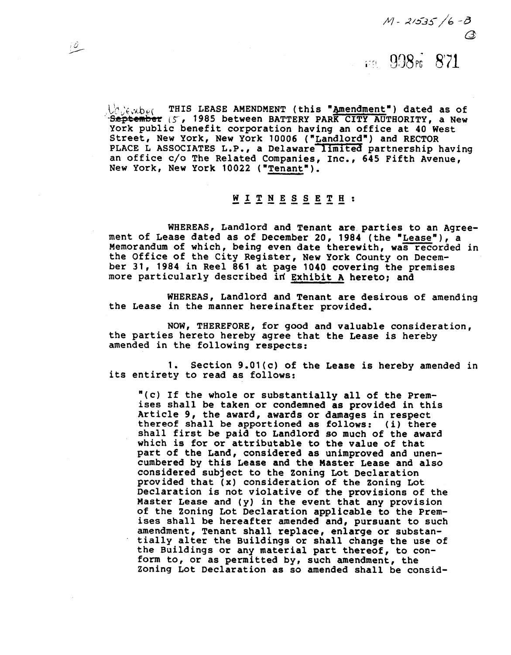$M - 21535/6 - B$ 

### FR 998<sup>r</sup> 871

 $\bigcup_{\mathcal{C}}\bigcup_{\mathcal{C}}\mathcal{A}$ b $_{\mathcal{C}}$ ( THIS LEASE AMENDMENT (this "<u>Amendment</u>") dated as of<br>September (5, 1985 between BATTERY PARK CITY AUTHORITY, a New York public benefit corporation having an office at 40 West Street, New York, New York 10006 ("Landlord") and RECTOR PLACE L ASSOCIATES L.P., a Delaware limited partnership having an office c/o The Related Companies, Inc., 645 Fifth Avenue,<br>New York, New York 10022 ("Tenant"). New York, THIS LEASE AMENDMENT (this "Ame<br>September (5, 1985 between BATTERY PARK Cork public benefit corporation having an<br>Street, New York, New York 10006 ("Landlo<br>PLACE L ASSOCIATES L.P., a Delaware limit<br>an office c/o

 $\overline{10}$ 

### ---------- WITNESSETH:

WHEREAS, Landlord and Tenant are parties to an Agree-<br>ment of Lease dated as of December 20, 1984 (the "Lease"), a ment of Lease dated 20 and December 20, 1984 (the "Leasen").<br>
WHEREAS, Landlord and Tenant are parties to an Agree<br>
ment of Lease dated as of December 20, 1984 (the "Lease"), a<br>
Memorandum of which, being even date therewi Memorandum of which, being even date therewith, was recorded in ber 31, 1984 in Reel 861 at page 1040 covering the premises more particularly described id Exhibit A hereto; and

WHEREAS, Landlord and Tenant are desirous of amending the Lease in the manner hereinafter provided,

NOW, THEREFORE, for good and valuable consideration, the parties hereto hereby agree that the Lease is hereby amended in the following respects:

1. Section 9.01(c) of the Lease is hereby amended in its entirety to read as follows:

"(c) If the whole or substantially all of the Premises shall be taken or condemned **as** provided in this Article 9, the award, awards or damages in respect thereof shall be apportioned **as** follows: (i) there shall first be paid to Landlord so much of the award which is for or attributable **to** the value of that part of the Land, considered as unimproved and unencumbered by this Lease and the Master Lease and also considered subject to the Zoning Lot Declaration provided that **(x)** consideration of the Zoning Lot Declaration is not violative of the provisions of the Master Lease and (y) in the event that any provision of the Zoning Lot Declaration applicable to the Premises shall be hereafter amended and, pursuant to such amendment, Tenant shall replace, enlarge or substantially alter the Buildings or shall change the use of the Buildings or any material part thereof, to conform to, or as permitted by, such amendment, the Zoning Lot Declaration as so amended shall be consid-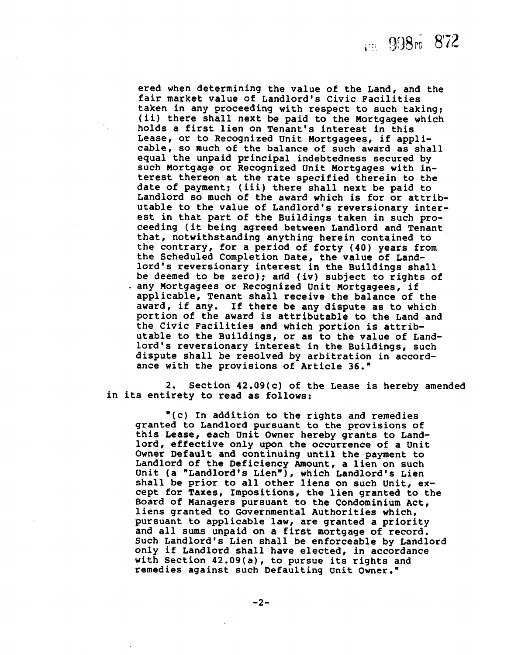ered when determining the value of the Land, and the fair market value of Landlord's Civic Facilities taken in any proceeding with respect to such taking; (ii) there shall next be paid to the Mortgagee which holds a first lien on Tenant's interest in this Lease, or to Recognized Unit Mortgagees, if applicable, so much of the balance of such award as shall equal the unpaid principal indebtedness secured by such Mortgage or Recognized Unit Mortgages with interest thereon at the rate specified therein to the date of payment; (iii) there shall next be paid to Landlord so much of the award which is for or attributable to the value of Landlord's reversionary interest in that part of the Buildings taken in such proceeding (it being agreed between Landlord and Tenant that, notwithstanding anything herein contained to the contrary, for a period of forty (40) years from the Scheduled Completion Date, the value of Landlord's reversionary interest in the Buildings shall be deemed to be zero); and (iv) subject to rights of any Mortgagees or Recognized Unit Mortgagees, if applicable, Tenant shall receive the balance of the award, if any. If there be any dispute as to which portion of the award is attributable to the Land and the Civic Facilities and which portion is attributable to the Buildings, or as to the value of Landlord's reversionary interest in the Buildings, such dispute shall be resolved by arbitration in accordance with the provisions of Article 36."

2. Section 42.09(c) of the Lease is hereby amended in its entirety to read as follows:

"(c) In addition to the rights and remedies granted to Landlord pursuant to the provisions of this Lease, each Unit Owner hereby grants to Landlord, effective only upon the occurrence of a Unit Owner Default and continuing until the payment to Landlord of the Deficiency Amount, a lien on such Unit (a "Landlord's Lien"), which Landlord's Lien shall be prior to all other liens on such Unit, except for Taxes, Impositions, the lien granted to the Board of Managers pursuant to the Condominium Act, liens granted to Governmental Authorities which, pursuant to applicable law, are granted a priority and all sums unpaid on a first mortgage of record. Such Landlord's Lien shall be enforceable by Landlord only if Landlord shall have elected, in accordance with Section 42.09(a), to pursue its rights and remedies against such Defaulting unit Owner.'

 $-2-$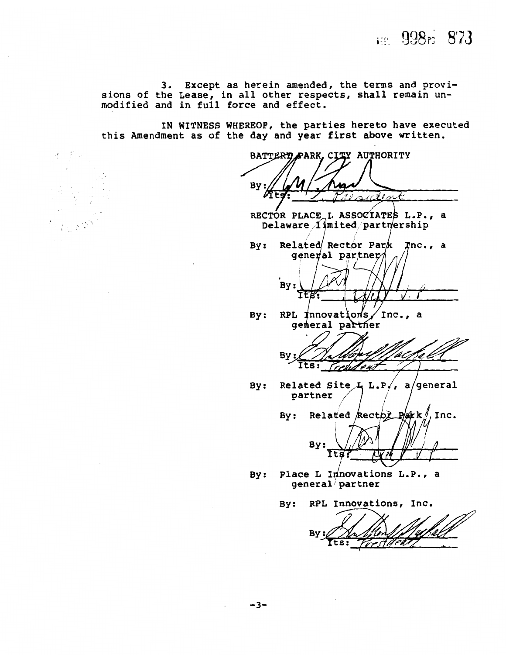FEL 998rc 873

**3.** Except as herein amended, the terms and provisions of the Lease, in all other respects, shall remain unmodified and in full force and effect.

IN WITNESS WHEREOF, the parties hereto have executed this Amendment as of the day and year first above written.

BATTERY PARK, CITY AUTHORITY By: alent

RECTOR PLACE L ASSOCIATES L.P., a Delaware *limited* partnership

Related Rector Park Tnc., a  $By:$ general partner



RPL Innovations Inc., a  $By:$ general partner

Βy Its: Tresh

By: Related Site  $\frac{1}{2}$  L.P,, a/general partner

Related Rector  $P/kk$ , Inc.  $By:$ By:

By: Place L Innovations L.P., a<br>general partner

TEB

By: RPL Innovations, Inc.

By: 'Aekî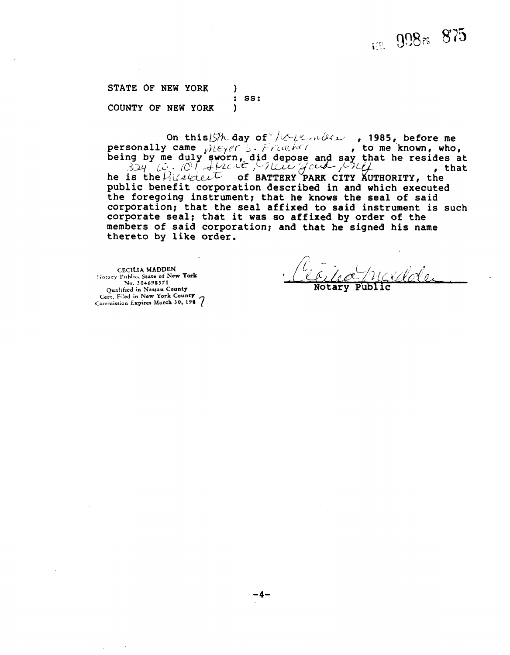# FER 998rs 875

STATE OF NEW YORK  $\lambda$ SS:  $\ddot{\bullet}$ COUNTY OF NEW YORK  $\lambda$ 

On this ISth day of the permisser, 1985, before me personally came *pleyer* 5. Franker , to me known, who,<br>being by me duly sworn, did depose and say that he resides at<br> $\frac{324}{64}$ ,  $\frac{10}{10}$ ,  $\frac{100}{4}$ ,  $\frac{100}{4}$ ,  $\frac{100}{4}$ ,  $\frac{100}{4}$ ,  $\frac{100}{4}$ , that public benefit corporation described in and which executed the foregoing instrument; that he knows the seal of said corporation; that the seal affixed to said instrument is such corporate seal; that it was so affixed by order of the members of said corporation; and that he signed his name thereto by like order.

**CECILIA MADDEN** Notary Public, State of New York No. 304698371 Qualified in Nassau County<br>Cert. Filed in New York County Commission Expires March 30, 198 7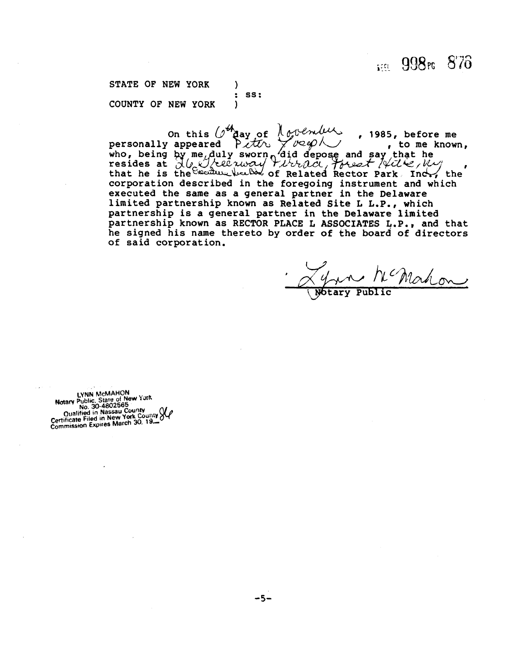1998rc 876

STATE OF NEW YORK ) : SS:<br>) COUNTY OF NEW YORK

, **1985,** beforeme s, before me<br>, to me known, , ...,<br>the corporation described in the foregoing instrument and which executed the same as a general partner in the Delaware limited partnership known as Related Site L L.P., which partnership is a general partner in the Delaware limited partnership known as RECTOR PLACE L ASSOCIATES L.P., and that he signed his name thereto by order of the board of directors of said corporation.

Where Public Mahon

Wotary Public

**LYNN McMAHON**  Motary Public. State of New York<br>
No. 30-4802565<br>
Oualified in Nassau County<br>
Certificate Filed in New York County<br>
Commission Expires March 30, 19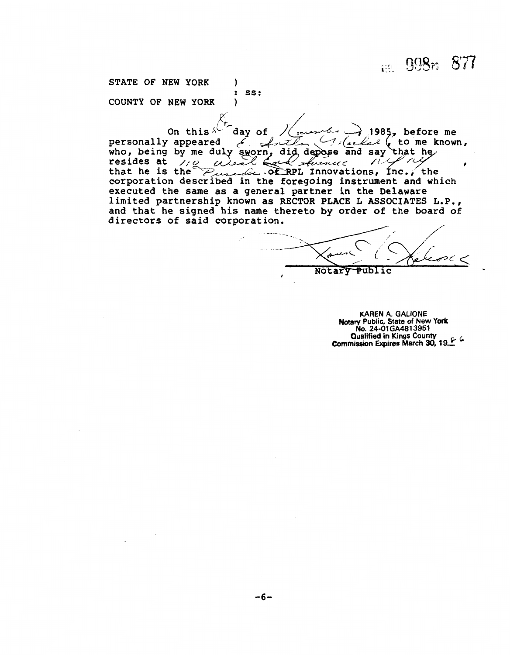FER 998F6 877

STATE OF NEW YORK (1) : SS:<br>) COUNTY OF **NEW** YORK )

 $1985$ , before me On this day of  $\ell$  ( to me known, personally 6. Arthur  $2<sub>0</sub>$ who, being by me duly sworn, did depose and say that her resides at  $\sqrt{2}$  also fixed streamed. il priz West Each strenus that he is the purce of RPL Innovations, Inc., the corporation described in the foregoing instrument and which that he is the executed the same as a general partner in the Delaware limited partnership known as RECTOR PLACE L ASSOCIATES L.P., and that he signed his name thereto by order of the board of directors of said corporation.

Notary Publ

**KAREN A. GALIONE Notary Public, State of New York NO. 24-01 GA4813951 Commission Expires March 30, 19**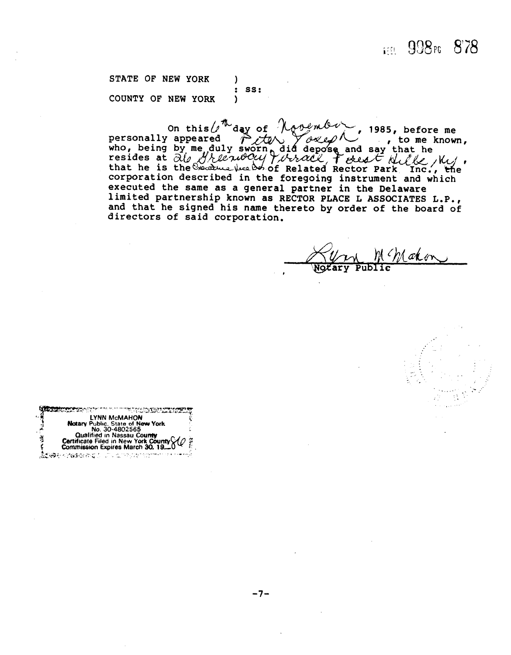### FOR 998 PG 878

STATE OF NEW YORK  $\lambda$  $\ddot{\phantom{a}}$ SS: COUNTY OF NEW YORK  $\lambda$ 

On this  $\int_0^{\pi}$  day of  $\int_0^{\pi}$  day of  $\int_0^{\pi}$  1985, before me<br>personally appeared  $\int_0^{\pi}$   $\int_0^{\pi}$   $\int_0^{\pi}$  to me known,<br>who, being by me duly sworn did depose and say that he<br>resides at  $\partial_0$  *H*/*Le ndO* limited partnership known as RECTOR PLACE L ASSOCIATES L.P., and that he signed his name thereto by order of the board of directors of said corporation.

akon

|     | <b>LETTER SHOWING COMPANY</b><br>and the common the state of the property of the state of the state of the state of the state of the state of t<br>The state of the state of the state of the state of the state of the state of the state of the state of the st |  |
|-----|-------------------------------------------------------------------------------------------------------------------------------------------------------------------------------------------------------------------------------------------------------------------|--|
| ٠., | LYNN McMAHON                                                                                                                                                                                                                                                      |  |
|     | Notary Public, State of New York                                                                                                                                                                                                                                  |  |
| 2   | No. 30-4802565                                                                                                                                                                                                                                                    |  |
|     | <b>Qualified in Nassau County</b>                                                                                                                                                                                                                                 |  |
| ş   | Certificate Filed in New York County                                                                                                                                                                                                                              |  |
|     | Commission Expires March 30, 19-0                                                                                                                                                                                                                                 |  |
|     | <b>www.communications.com</b>                                                                                                                                                                                                                                     |  |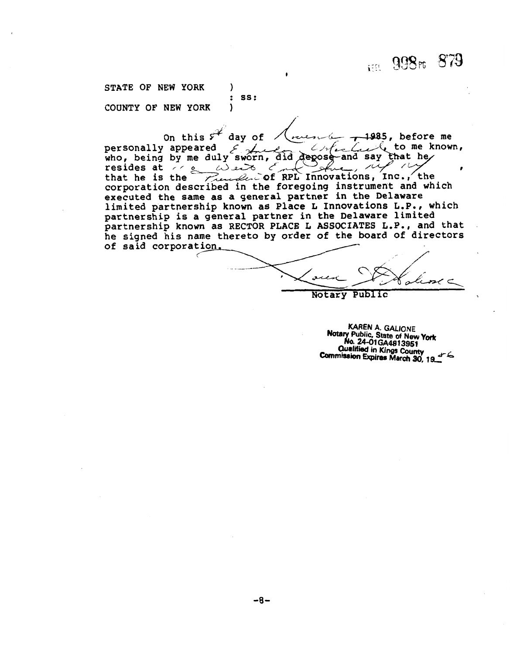1:11 998rs 879

STATE OF NEW YORK SS:  $\ddot{\phantom{a}}$ COUNTY OF NEW YORK  $\lambda$ 

On this  $s^*$  day of 1985, before me  $\mathcal{L}$  to me known, personally appeared  $\mathcal{L}_{\mathbb{R}^n}$ Crick who, being by me duly sworn, did depose and say that he resides at  $\sum_{\mu}$  web complete that he is the movations, inc., the corporation described in the foregoing instrument and which executed the same as a general partner in the Delaware limited partnership known as Place L Innovations L.P., which partnership is a general partner in the Delaware limited partnership known as RECTOR PLACE L ASSOCIATES L.P., and that he signed his name thereto by order of the board of directors of said corporation.

ł. ىد

Notary Public

KAREN A. GALIONE Notary Public, State of New York<br>No. 24-01GA4813951 **Qualified in Kings County** Commission Expires March 30, 19